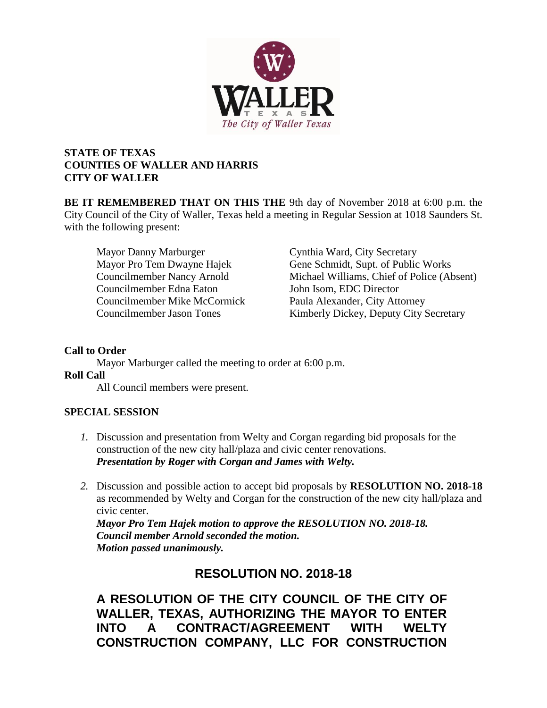

## **STATE OF TEXAS COUNTIES OF WALLER AND HARRIS CITY OF WALLER**

**BE IT REMEMBERED THAT ON THIS THE** 9th day of November 2018 at 6:00 p.m. the City Council of the City of Waller, Texas held a meeting in Regular Session at 1018 Saunders St. with the following present:

Mayor Danny Marburger Cynthia Ward, City Secretary Councilmember Edna Eaton John Isom, EDC Director Councilmember Mike McCormick Paula Alexander, City Attorney

Mayor Pro Tem Dwayne Hajek Gene Schmidt, Supt. of Public Works Councilmember Nancy Arnold Michael Williams, Chief of Police (Absent) Councilmember Jason Tones Kimberly Dickey, Deputy City Secretary

## **Call to Order**

Mayor Marburger called the meeting to order at 6:00 p.m.

#### **Roll Call**

All Council members were present.

#### **SPECIAL SESSION**

- *1.* Discussion and presentation from Welty and Corgan regarding bid proposals for the construction of the new city hall/plaza and civic center renovations. *Presentation by Roger with Corgan and James with Welty.*
- *2.* Discussion and possible action to accept bid proposals by **RESOLUTION NO. 2018-18** as recommended by Welty and Corgan for the construction of the new city hall/plaza and civic center.

*Mayor Pro Tem Hajek motion to approve the RESOLUTION NO. 2018-18. Council member Arnold seconded the motion. Motion passed unanimously.*

## **RESOLUTION NO. 2018-18**

**A RESOLUTION OF THE CITY COUNCIL OF THE CITY OF WALLER, TEXAS, AUTHORIZING THE MAYOR TO ENTER INTO A CONTRACT/AGREEMENT WITH WELTY CONSTRUCTION COMPANY, LLC FOR CONSTRUCTION**